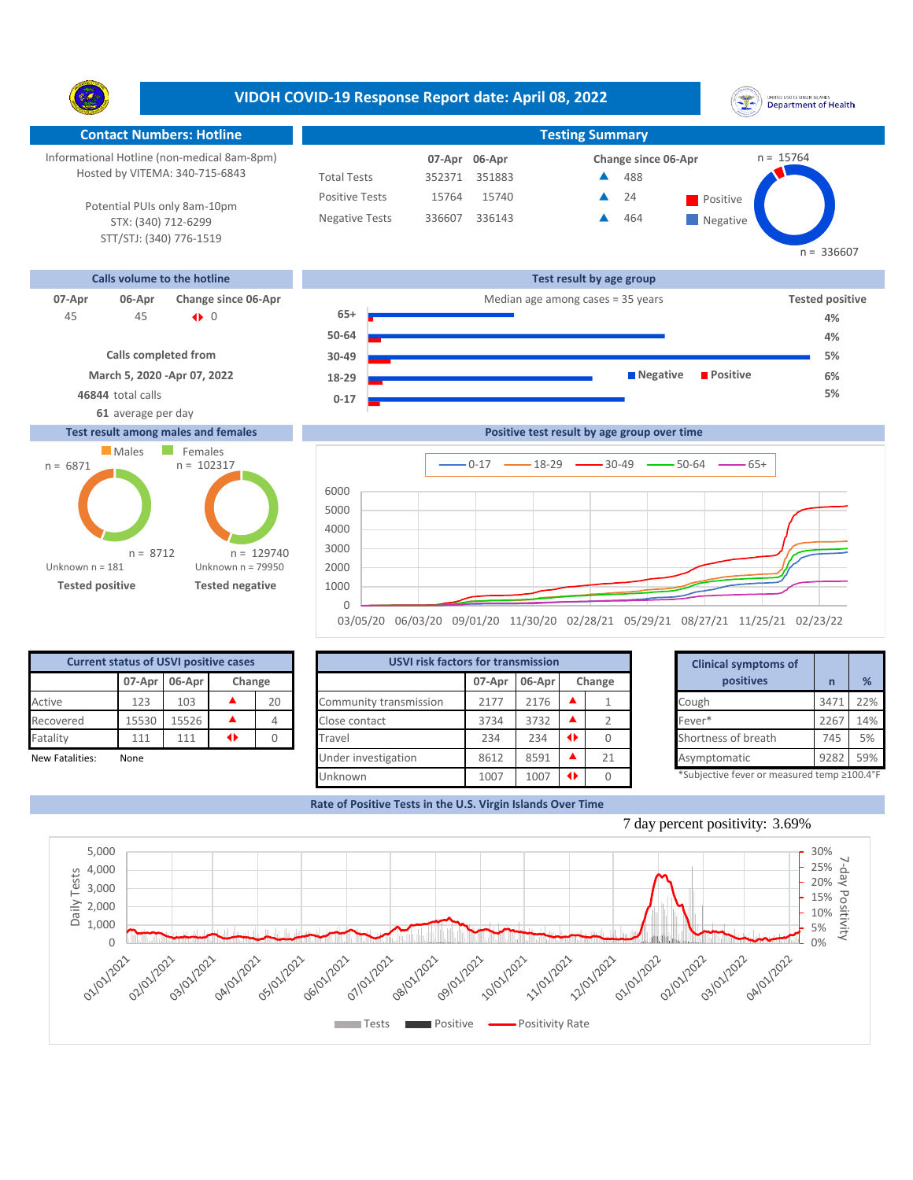**VIDOH COVID-19 Response Report date: April 08, 2022** UNITED STATES VIRGIN SLANDS<br>Department of Health Y. **Contact Numbers: Hotline Testing Summary** Informational Hotline (non-medical 8am-8pm)  $n = 15764$ **06-Apr 07-Apr Change since 06-Apr** Hosted by VITEMA: 340-715-6843 Total Tests 352371 351883 488 ▲ Positive Tests 15740 **A** 24 **Positive** 15764  $\blacktriangle$ 24 Potential PUIs only 8am-10pm Negative Tests 336607 336143 464 ▲ **Negative** STX: (340) 712-6299 STT/STJ: (340) 776-1519  $n = 336607$ **Calls volume to the hotline Test result by age group 07-Apr 06-Apr Change since 06-Apr Change since 06-Apr Change and Apple 2016** Median age among cases = 35 years **Tested positive 65+** 45 0 45 |} **4% 50-64 4% Calls completed from 5% 30-49 March 5, 2020 -Apr 07, 2022 Negative Positive 6% 18-29 46844** total calls **5% 0-17 61** average per day

## **Test result among males and females**





| <b>Current status of USVI positive cases</b> |        |        |        |    |  |  |  |  |  |  |
|----------------------------------------------|--------|--------|--------|----|--|--|--|--|--|--|
|                                              | 07-Apr | 06-Apr | Change |    |  |  |  |  |  |  |
| Active                                       | 123    | 103    |        | 20 |  |  |  |  |  |  |
| Recovered                                    | 15530  | 15526  |        |    |  |  |  |  |  |  |
| Fatality                                     | 111    | 111    | 1      |    |  |  |  |  |  |  |
| <b>New Fatalities:</b>                       | None   |        |        |    |  |  |  |  |  |  |

| <b>Current status of USVI positive cases</b> |       |               |   |        |                        | <b>USVI risk factors for transmission</b> |      |  |           |  |                                            |      |     |
|----------------------------------------------|-------|---------------|---|--------|------------------------|-------------------------------------------|------|--|-----------|--|--------------------------------------------|------|-----|
|                                              |       | 07-Apr 06-Apr |   | Change |                        | 06-Apr<br>07-Apr<br>Change                |      |  | positives |  | %                                          |      |     |
| Active                                       | 123   | 103           |   | 20     | Community transmission | 2177                                      | 2176 |  |           |  | Cough                                      | 347  | 22% |
| Recovered                                    | 15530 | 15526         |   |        | Close contact          | 3734                                      | 3732 |  |           |  | Fever*                                     | 2267 | 14% |
| Fatality                                     | 111   | 111           | ◆ |        | Travel                 | 234                                       | 234  |  |           |  | Shortness of breath                        | 745  | 5%  |
| New Fatalities:                              | None  |               |   |        | Under investigation    | 8612                                      | 8591 |  | 21        |  | Asymptomatic                               | 9282 | 59% |
|                                              |       |               |   |        | <b>Unknown</b>         | 1007                                      | 1007 |  |           |  | *Subjective fever or measured temp ≥100.4° |      |     |

| for transmission |        |   |        |
|------------------|--------|---|--------|
| 07-Apr           | 06-Apr |   | Change |
| 2177             | 2176   |   |        |
| 3734             | 3732   |   | 2      |
| 234              | 234    | ◆ | 0      |
| 8612             | 8591   |   | 21     |
| 1007             | 1007   | ◆ |        |

**Rate of Positive Tests in the U.S. Virgin Islands Over Time**